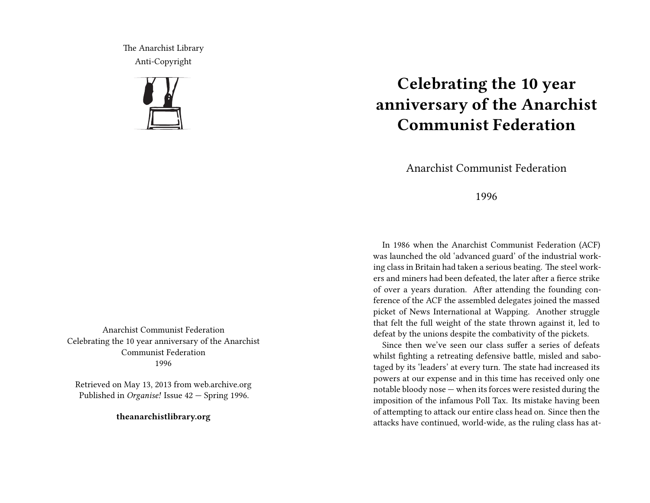The Anarchist Library Anti-Copyright



Anarchist Communist Federation Celebrating the 10 year anniversary of the Anarchist Communist Federation 1996

Retrieved on May 13, 2013 from web.archive.org Published in *Organise!* Issue 42 — Spring 1996.

**theanarchistlibrary.org**

## **Celebrating the 10 year anniversary of the Anarchist Communist Federation**

Anarchist Communist Federation

1996

In 1986 when the Anarchist Communist Federation (ACF) was launched the old 'advanced guard' of the industrial working class in Britain had taken a serious beating. The steel workers and miners had been defeated, the later after a fierce strike of over a years duration. After attending the founding conference of the ACF the assembled delegates joined the massed picket of News International at Wapping. Another struggle that felt the full weight of the state thrown against it, led to defeat by the unions despite the combativity of the pickets.

Since then we've seen our class suffer a series of defeats whilst fighting a retreating defensive battle, misled and sabotaged by its 'leaders' at every turn. The state had increased its powers at our expense and in this time has received only one notable bloody nose — when its forces were resisted during the imposition of the infamous Poll Tax. Its mistake having been of attempting to attack our entire class head on. Since then the attacks have continued, world-wide, as the ruling class has at